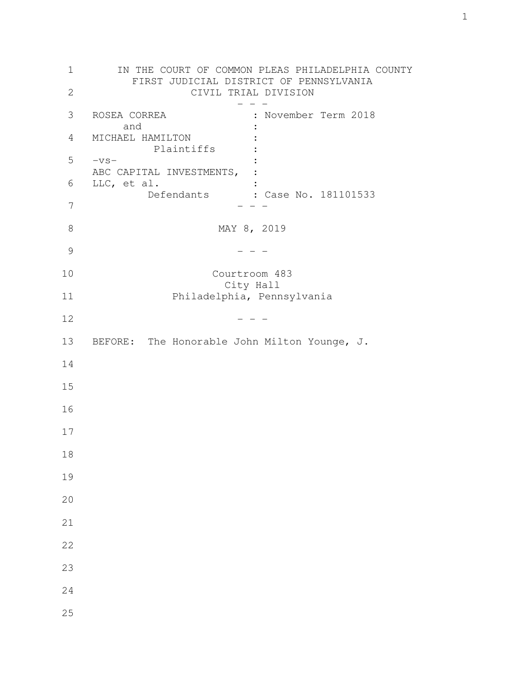| 1             | IN THE COURT OF COMMON PLEAS PHILADELPHIA COUNTY<br>FIRST JUDICIAL DISTRICT OF PENNSYLVANIA |
|---------------|---------------------------------------------------------------------------------------------|
| $\mathbf{2}$  | CIVIL TRIAL DIVISION                                                                        |
| 3             | ROSEA CORREA<br>: November Term 2018                                                        |
| 4             | and<br>MICHAEL HAMILTON<br>Plaintiffs                                                       |
| 5             | $-\nabla S-$                                                                                |
| 6             | ABC CAPITAL INVESTMENTS,<br>LLC, et al.                                                     |
| 7             | Defendants : Case No. 181101533                                                             |
| 8             | MAY 8, 2019                                                                                 |
| $\mathcal{G}$ |                                                                                             |
| 10            | Courtroom 483                                                                               |
| 11            | City Hall<br>Philadelphia, Pennsylvania                                                     |
| 12            |                                                                                             |
| 13            | BEFORE: The Honorable John Milton Younge, J.                                                |
| 14            |                                                                                             |
| 15            |                                                                                             |
| 16            |                                                                                             |
| 17            |                                                                                             |
| 18            |                                                                                             |
| 19            |                                                                                             |
| 20            |                                                                                             |
| 21            |                                                                                             |
| 22            |                                                                                             |
| 23            |                                                                                             |
| 24            |                                                                                             |
| 25            |                                                                                             |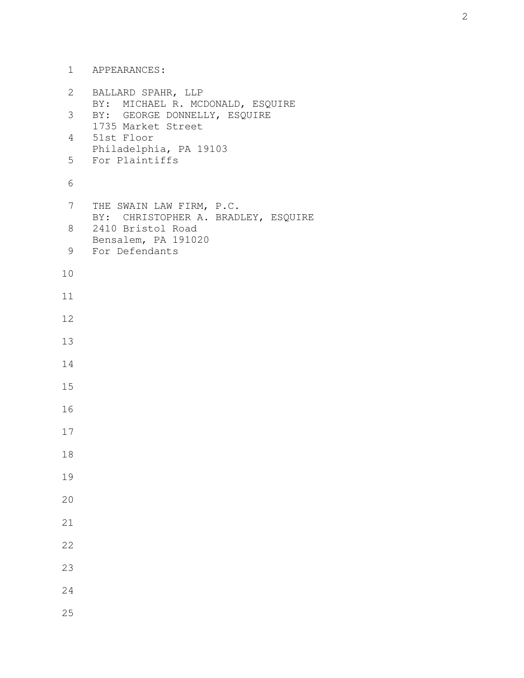1 APPEARANCES:

| 2  | BALLARD SPAHR, LLP<br>MICHAEL R. MCDONALD, ESQUIRE        |
|----|-----------------------------------------------------------|
| 3  | BY:<br>BY: GEORGE DONNELLY, ESQUIRE<br>1735 Market Street |
| 4  | 51st Floor                                                |
| 5  | Philadelphia, PA 19103<br>For Plaintiffs                  |
| 6  |                                                           |
| 7  | THE SWAIN LAW FIRM, P.C.                                  |
| 8  | BY: CHRISTOPHER A. BRADLEY, ESQUIRE<br>2410 Bristol Road  |
| 9  | Bensalem, PA 191020<br>For Defendants                     |
| 10 |                                                           |
| 11 |                                                           |
| 12 |                                                           |
| 13 |                                                           |
| 14 |                                                           |
| 15 |                                                           |
| 16 |                                                           |
| 17 |                                                           |
| 18 |                                                           |
| 19 |                                                           |
| 20 |                                                           |
| 21 |                                                           |
| 22 |                                                           |
| 23 |                                                           |
| 24 |                                                           |
| 25 |                                                           |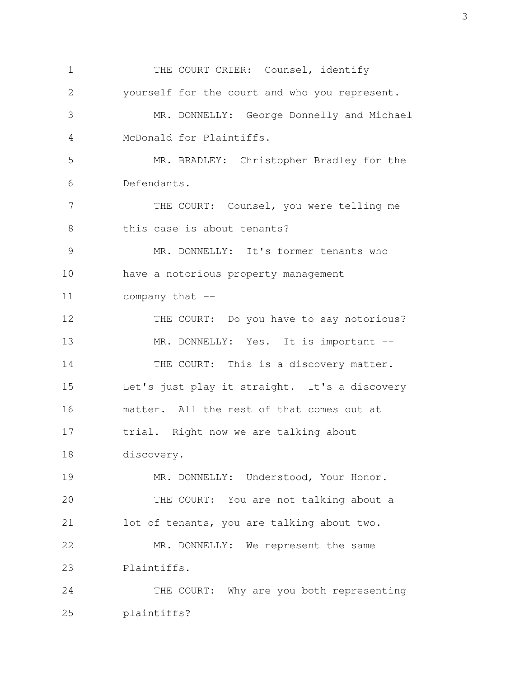1 THE COURT CRIER: Counsel, identify 2 yourself for the court and who you represent. 3 MR. DONNELLY: George Donnelly and Michael 4 McDonald for Plaintiffs. 5 MR. BRADLEY: Christopher Bradley for the 6 Defendants. 7 THE COURT: Counsel, you were telling me 8 this case is about tenants? 9 MR. DONNELLY: It's former tenants who 10 have a notorious property management 11 company that -- 12 THE COURT: Do you have to say notorious? 13 MR. DONNELLY: Yes. It is important --14 THE COURT: This is a discovery matter. 15 Let's just play it straight. It's a discovery 16 matter. All the rest of that comes out at 17 trial. Right now we are talking about 18 discovery. 19 MR. DONNELLY: Understood, Your Honor. 20 THE COURT: You are not talking about a 21 lot of tenants, you are talking about two. 22 MR. DONNELLY: We represent the same 23 Plaintiffs. 24 THE COURT: Why are you both representing 25 plaintiffs?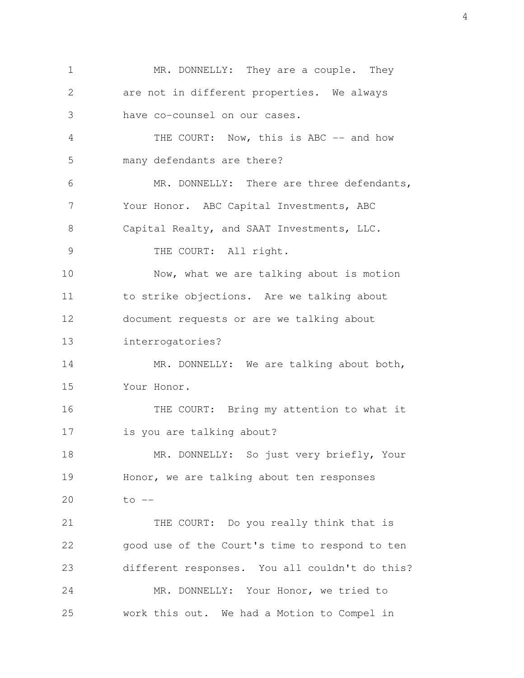1 MR. DONNELLY: They are a couple. They 2 are not in different properties. We always 3 have co-counsel on our cases. 4 THE COURT: Now, this is ABC -- and how 5 many defendants are there? 6 MR. DONNELLY: There are three defendants, 7 Your Honor. ABC Capital Investments, ABC 8 Capital Realty, and SAAT Investments, LLC. 9 THE COURT: All right. 10 Now, what we are talking about is motion 11 to strike objections. Are we talking about 12 document requests or are we talking about 13 interrogatories? 14 MR. DONNELLY: We are talking about both, 15 Your Honor. 16 THE COURT: Bring my attention to what it 17 is you are talking about? 18 MR. DONNELLY: So just very briefly, Your 19 Honor, we are talking about ten responses 20  $\qquad \qquad \text{to} \qquad -$ 21 THE COURT: Do you really think that is 22 good use of the Court's time to respond to ten 23 different responses. You all couldn't do this? 24 MR. DONNELLY: Your Honor, we tried to 25 work this out. We had a Motion to Compel in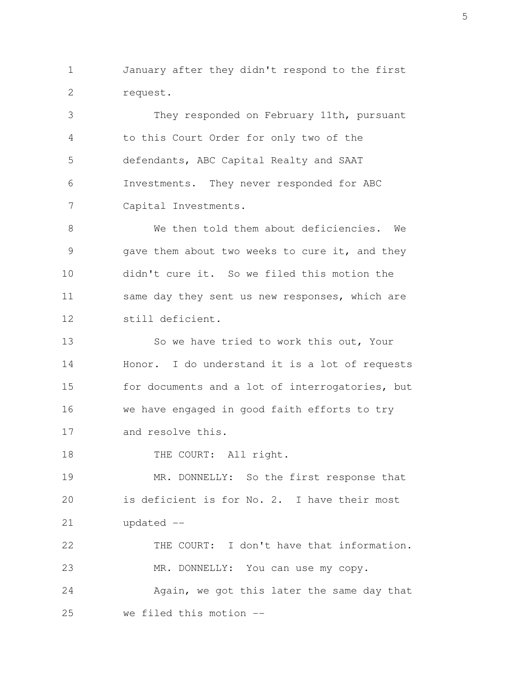1 January after they didn't respond to the first 2 request.

 3 They responded on February 11th, pursuant 4 to this Court Order for only two of the 5 defendants, ABC Capital Realty and SAAT 6 Investments. They never responded for ABC 7 Capital Investments.

 8 We then told them about deficiencies. We 9 gave them about two weeks to cure it, and they 10 didn't cure it. So we filed this motion the 11 same day they sent us new responses, which are 12 still deficient.

13 So we have tried to work this out, Your 14 Honor. I do understand it is a lot of requests 15 for documents and a lot of interrogatories, but 16 we have engaged in good faith efforts to try 17 and resolve this.

18 THE COURT: All right.

19 MR. DONNELLY: So the first response that 20 is deficient is for No. 2. I have their most 21 updated --

22 THE COURT: I don't have that information. 23 MR. DONNELLY: You can use my copy. 24 Again, we got this later the same day that 25 we filed this motion --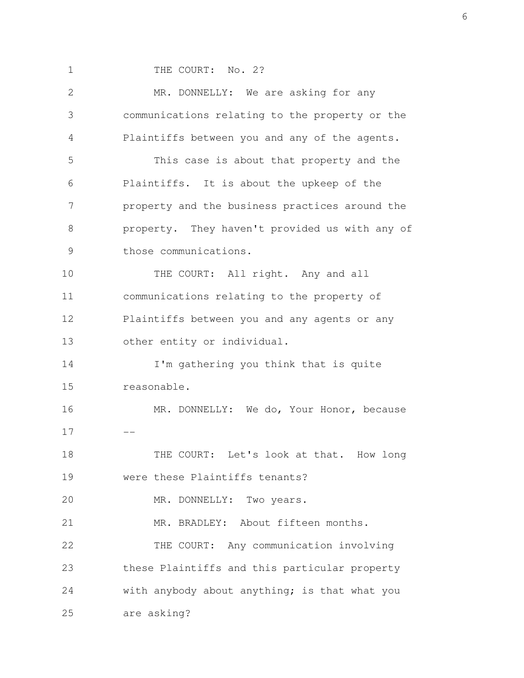1 THE COURT: No. 2?

 2 MR. DONNELLY: We are asking for any 3 communications relating to the property or the 4 Plaintiffs between you and any of the agents. 5 This case is about that property and the 6 Plaintiffs. It is about the upkeep of the 7 property and the business practices around the 8 property. They haven't provided us with any of 9 those communications. 10 THE COURT: All right. Any and all 11 communications relating to the property of 12 Plaintiffs between you and any agents or any 13 other entity or individual. 14 I'm gathering you think that is quite 15 reasonable. 16 MR. DONNELLY: We do, Your Honor, because  $17 - -$ 18 THE COURT: Let's look at that. How long 19 were these Plaintiffs tenants? 20 MR. DONNELLY: Two years. 21 MR. BRADLEY: About fifteen months. 22 THE COURT: Any communication involving 23 these Plaintiffs and this particular property 24 with anybody about anything; is that what you 25 are asking?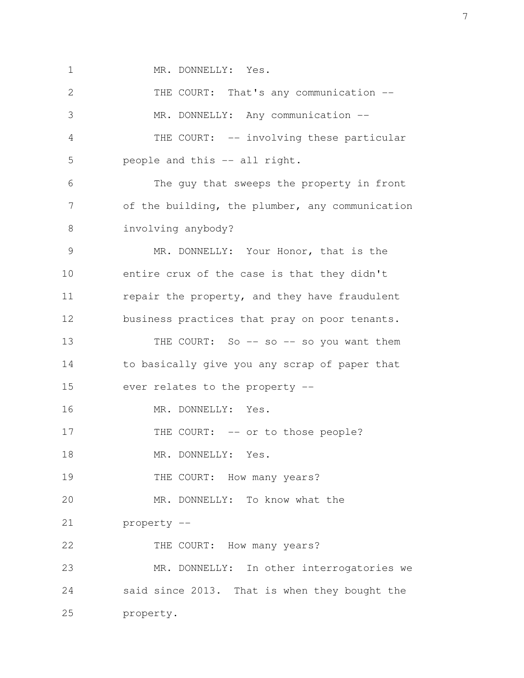1 MR. DONNELLY: Yes.

| $\mathbf{2}$  | THE COURT: That's any communication --          |
|---------------|-------------------------------------------------|
| 3             | MR. DONNELLY: Any communication --              |
| 4             | THE COURT: -- involving these particular        |
| 5             | people and this -- all right.                   |
| 6             | The guy that sweeps the property in front       |
| 7             | of the building, the plumber, any communication |
| 8             | involving anybody?                              |
| $\mathcal{G}$ | MR. DONNELLY: Your Honor, that is the           |
| 10            | entire crux of the case is that they didn't     |
| 11            | repair the property, and they have fraudulent   |
| 12            | business practices that pray on poor tenants.   |
| 13            | THE COURT: So -- so -- so you want them         |
| 14            | to basically give you any scrap of paper that   |
| 15            | ever relates to the property --                 |
| 16            | MR. DONNELLY: Yes.                              |
| 17            | THE COURT: -- or to those people?               |
| 18            | MR. DONNELLY: Yes.                              |
| 19            | THE COURT: How many years?                      |
| 20            | MR. DONNELLY: To know what the                  |
| 21            | property --                                     |
| 22            | THE COURT: How many years?                      |
| 23            | MR. DONNELLY: In other interrogatories we       |
| 24            | said since 2013. That is when they bought the   |
| 25            | property.                                       |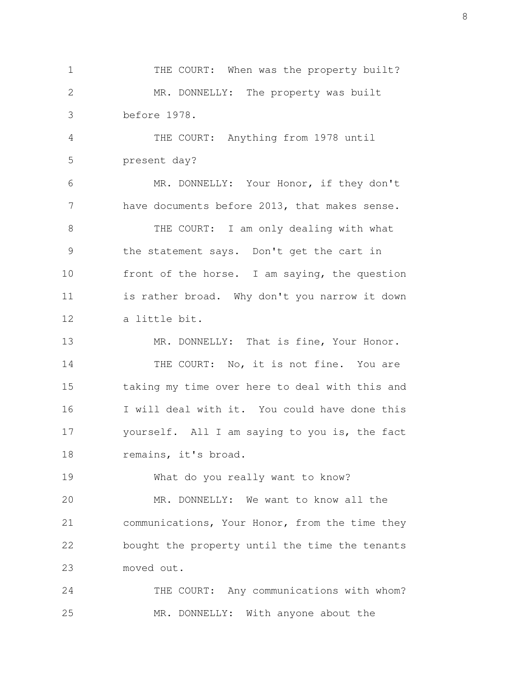1 THE COURT: When was the property built? 2 MR. DONNELLY: The property was built 3 before 1978.

 4 THE COURT: Anything from 1978 until 5 present day?

 6 MR. DONNELLY: Your Honor, if they don't 7 have documents before 2013, that makes sense. 8 THE COURT: I am only dealing with what 9 the statement says. Don't get the cart in

10 front of the horse. I am saying, the question 11 is rather broad. Why don't you narrow it down 12 a little bit.

13 MR. DONNELLY: That is fine, Your Honor. 14 THE COURT: No, it is not fine. You are 15 taking my time over here to deal with this and 16 I will deal with it. You could have done this 17 yourself. All I am saying to you is, the fact 18 remains, it's broad.

19 What do you really want to know?

20 MR. DONNELLY: We want to know all the 21 communications, Your Honor, from the time they 22 bought the property until the time the tenants 23 moved out.

24 THE COURT: Any communications with whom? 25 MR. DONNELLY: With anyone about the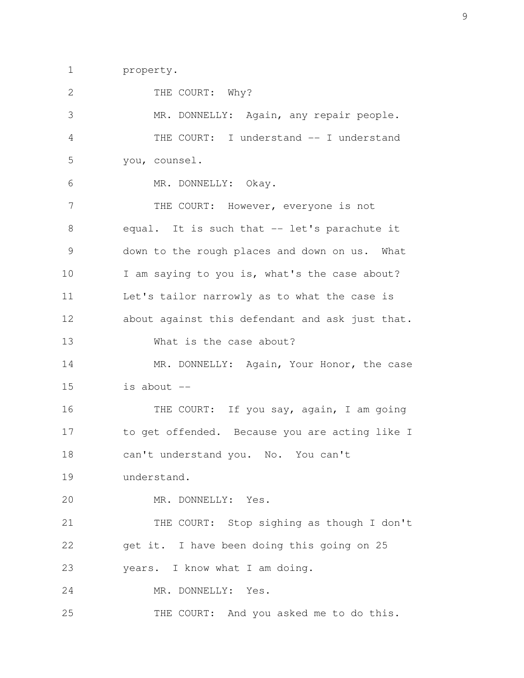1 property.

| $\mathbf{2}$  | THE COURT: Why?                                 |
|---------------|-------------------------------------------------|
| 3             | MR. DONNELLY: Again, any repair people.         |
| 4             | THE COURT: I understand -- I understand         |
| 5             | you, counsel.                                   |
| 6             | MR. DONNELLY: Okay.                             |
| 7             | THE COURT: However, everyone is not             |
| 8             | equal. It is such that -- let's parachute it    |
| $\mathcal{G}$ | down to the rough places and down on us. What   |
| 10            | I am saying to you is, what's the case about?   |
| 11            | Let's tailor narrowly as to what the case is    |
| 12            | about against this defendant and ask just that. |
| 13            | What is the case about?                         |
| 14            | MR. DONNELLY: Again, Your Honor, the case       |
| 15            | is about $--$                                   |
| 16            | THE COURT: If you say, again, I am going        |
| 17            | to get offended. Because you are acting like I  |
| 18            | can't understand you. No. You can't             |
| 19            | understand.                                     |
| 20            | MR. DONNELLY: Yes.                              |
| 21            | THE COURT: Stop sighing as though I don't       |
| 22            | get it. I have been doing this going on 25      |
| 23            | years. I know what I am doing.                  |
| 24            | MR. DONNELLY: Yes.                              |
| 25            | THE COURT: And you asked me to do this.         |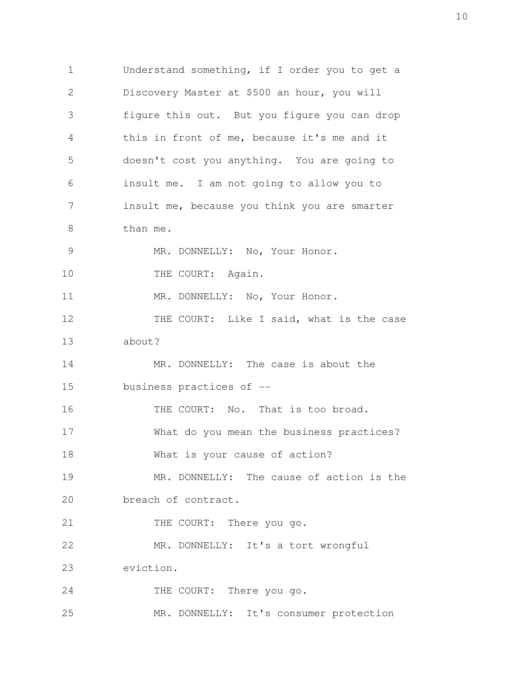1 Understand something, if I order you to get a 2 Discovery Master at \$500 an hour, you will 3 figure this out. But you figure you can drop 4 this in front of me, because it's me and it 5 doesn't cost you anything. You are going to 6 insult me. I am not going to allow you to 7 insult me, because you think you are smarter 8 than me. 9 MR. DONNELLY: No, Your Honor. 10 THE COURT: Again. 11 MR. DONNELLY: No, Your Honor. 12 THE COURT: Like I said, what is the case 13 about? 14 MR. DONNELLY: The case is about the 15 business practices of -- 16 THE COURT: No. That is too broad. 17 What do you mean the business practices? 18 What is your cause of action? 19 MR. DONNELLY: The cause of action is the 20 breach of contract. 21 THE COURT: There you go. 22 MR. DONNELLY: It's a tort wrongful 23 eviction. 24 THE COURT: There you go. 25 MR. DONNELLY: It's consumer protection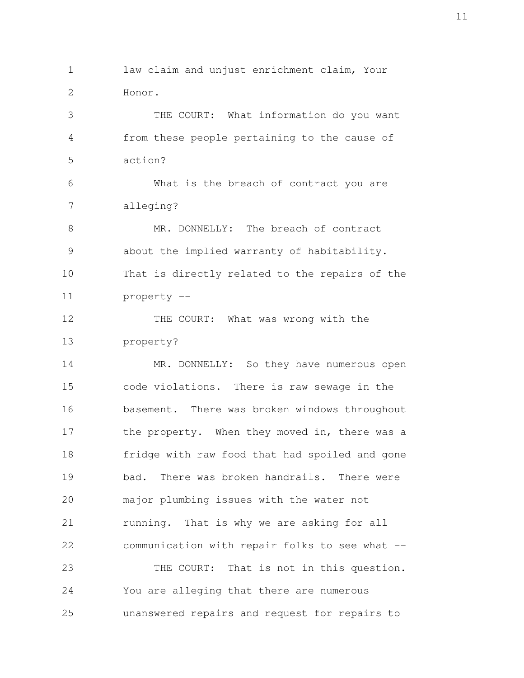1 law claim and unjust enrichment claim, Your 2 Honor. 3 THE COURT: What information do you want 4 from these people pertaining to the cause of 5 action? 6 What is the breach of contract you are 7 alleging? 8 MR. DONNELLY: The breach of contract 9 about the implied warranty of habitability. 10 That is directly related to the repairs of the 11 property -- 12 THE COURT: What was wrong with the 13 property? 14 MR. DONNELLY: So they have numerous open 15 code violations. There is raw sewage in the 16 basement. There was broken windows throughout 17 the property. When they moved in, there was a 18 fridge with raw food that had spoiled and gone 19 bad. There was broken handrails. There were 20 major plumbing issues with the water not 21 running. That is why we are asking for all 22 communication with repair folks to see what -- 23 THE COURT: That is not in this question. 24 You are alleging that there are numerous 25 unanswered repairs and request for repairs to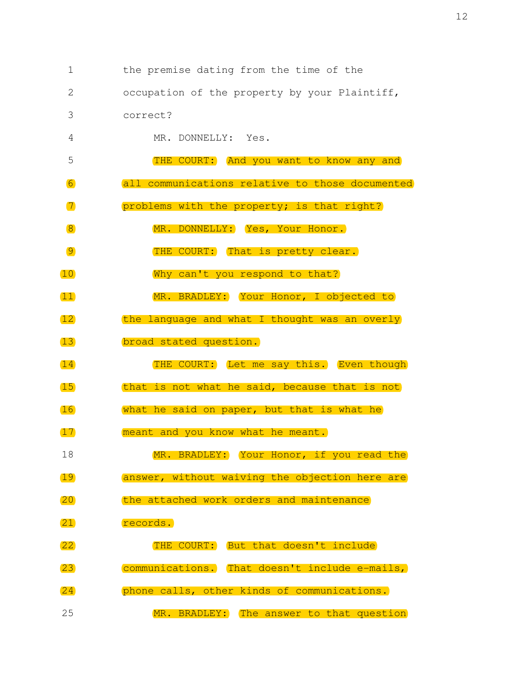1 the premise dating from the time of the

2 occupation of the property by your Plaintiff,

- 3 correct?
- 4 MR. DONNELLY: Yes.
- 5 THE COURT: And you want to know any and 6 all communications relative to those documented 7 problems with the property; is that right?
- 8 MR. DONNELLY: Yes, Your Honor.
- 9 THE COURT: That is pretty clear.
- 10 Why can't you respond to that?
- 11 MR. BRADLEY: Your Honor, I objected to
- 12 the language and what I thought was an overly
- 13 broad stated question.
- 14 THE COURT: Let me say this. Even though
- 15 that is not what he said, because that is not
- 16 what he said on paper, but that is what he
- 17 meant and you know what he meant.
- 18 MR. BRADLEY: Your Honor, if you read the
- 19 answer, without waiving the objection here are
- 20 the attached work orders and maintenance
- 21 records.
- 22 THE COURT: But that doesn't include 23 communications. That doesn't include e-mails, 24 phone calls, other kinds of communications.
- 25 MR. BRADLEY: The answer to that question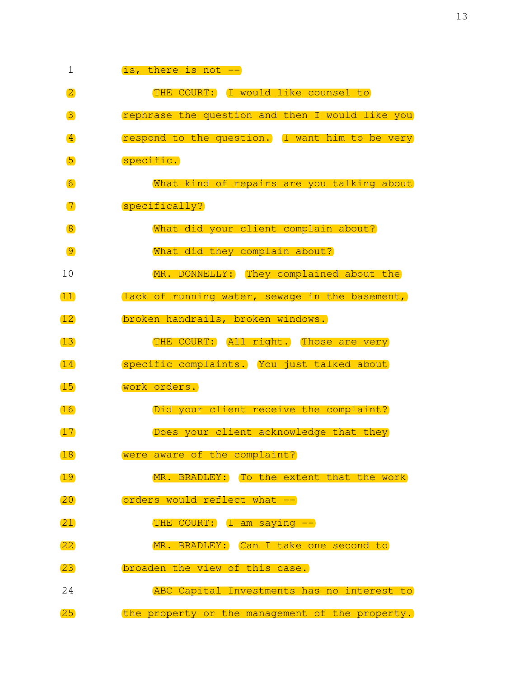| 1                  | is, there is not --                             |
|--------------------|-------------------------------------------------|
| $\overline{2}$     | THE COURT: I would like counsel to              |
| 3                  | rephrase the question and then I would like you |
| $\vert 4 \vert$    | respond to the question. I want him to be very  |
| 5                  | specific.                                       |
| 6                  | What kind of repairs are you talking about      |
| $\boxed{7}$        | specifically?                                   |
| $\sqrt{8}$         | What did your client complain about?            |
| $\overline{9}$     | What did they complain about?                   |
| 10                 | MR. DONNELLY: They complained about the         |
| $\boxed{11}$       | (lack of running water, sewage in the basement, |
| $\overline{12}$    | broken handrails, broken windows.               |
| 13)                | THE COURT: All right. Those are very            |
| 14                 | specific complaints. You just talked about      |
| 15                 | work orders.                                    |
| 16                 | Did your client receive the complaint?          |
| 17                 | Does your client acknowledge that they          |
| 18                 | were aware of the complaint?                    |
| 19                 | MR. BRADLEY: To the extent that the work        |
| (20)               | orders would reflect what --                    |
| (21)               | THE COURT: I am saying --                       |
| $\left( 22\right)$ | MR. BRADLEY: Can I take one second to           |
| $\boxed{23}$       | broaden the view of this case.                  |
| 24                 | ABC Capital Investments has no interest to      |
| $\overline{25}$    | the property or the management of the property. |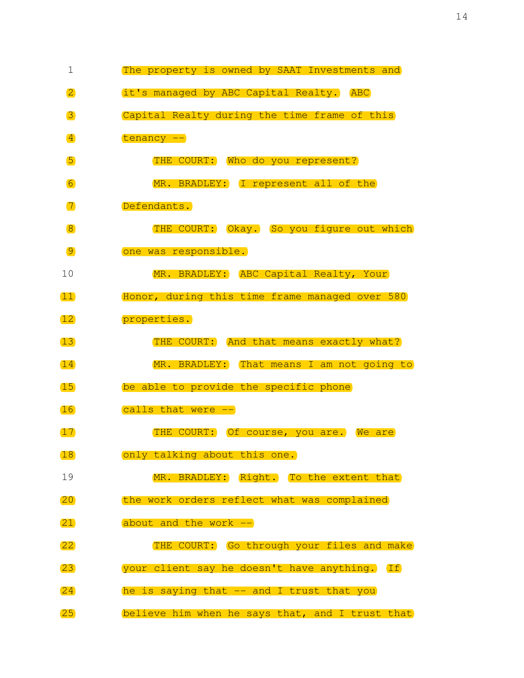| $\mathbf 1$       | The property is owned by SAAT Investments and   |
|-------------------|-------------------------------------------------|
| $\overline{2}$    | it's managed by ABC Capital Realty. ABC         |
| 3                 | Capital Realty during the time frame of this    |
| $\vert 4 \vert$   | tenancy --                                      |
| 5                 | THE COURT: Who do you represent?                |
| 6                 | MR. BRADLEY: I represent all of the             |
| $\boxed{7}$       | Defendants.                                     |
| $\sqrt{8}$        | THE COURT: Okay. So you figure out which        |
| $\overline{9}$    | one was responsible.                            |
| 10                | MR. BRADLEY: ABC Capital Realty, Your           |
| $\overline{11}$   | Honor, during this time frame managed over 580  |
| 12                | properties.                                     |
| 13                | THE COURT: And that means exactly what?         |
| 14                | MR. BRADLEY: That means I am not going to       |
| 15                | be able to provide the specific phone           |
| 16                | calls that were --                              |
| 17                | THE COURT: Of course, you are. We are           |
| 18                | only talking about this one.                    |
| 19                | MR. BRADLEY: Right. To the extent that          |
| (20)              | the work orders reflect what was complained     |
| (21)              | about and the work --                           |
| $\overline{22}$   | THE COURT: Go through your files and make       |
| $\left(23\right)$ | your client say he doesn't have anything. If    |
| 24)               | he is saying that -- and I trust that you       |
| $\overline{25}$   | believe him when he says that, and I trust that |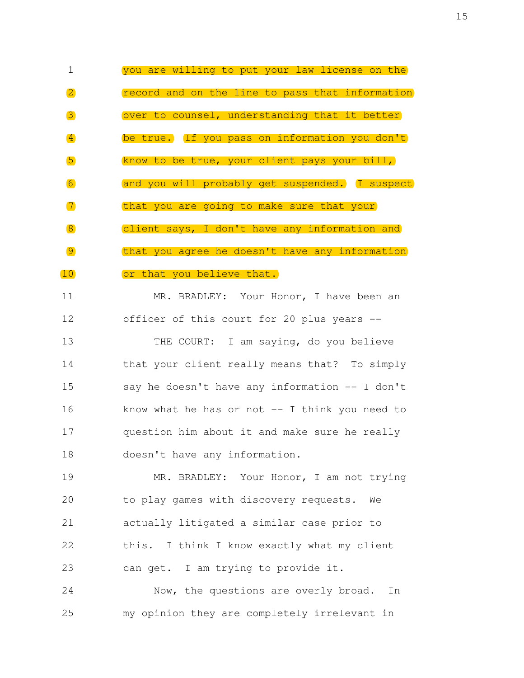1 you are willing to put your law license on the 2 **2** record and on the line to pass that information 3 over to counsel, understanding that it better 4 be true. If you pass on information you don't 5 know to be true, your client pays your bill, 6 and you will probably get suspended. I suspect 7 that you are going to make sure that your 8 68 client says, I don't have any information and 9 that you agree he doesn't have any information 10 or that you believe that.

11 MR. BRADLEY: Your Honor, I have been an 12 officer of this court for 20 plus years -- 13 THE COURT: I am saying, do you believe 14 that your client really means that? To simply

15 say he doesn't have any information -- I don't 16 know what he has or not -- I think you need to 17 question him about it and make sure he really 18 doesn't have any information.

19 MR. BRADLEY: Your Honor, I am not trying 20 to play games with discovery requests. We 21 actually litigated a similar case prior to 22 this. I think I know exactly what my client 23 can get. I am trying to provide it.

24 Now, the questions are overly broad. In 25 my opinion they are completely irrelevant in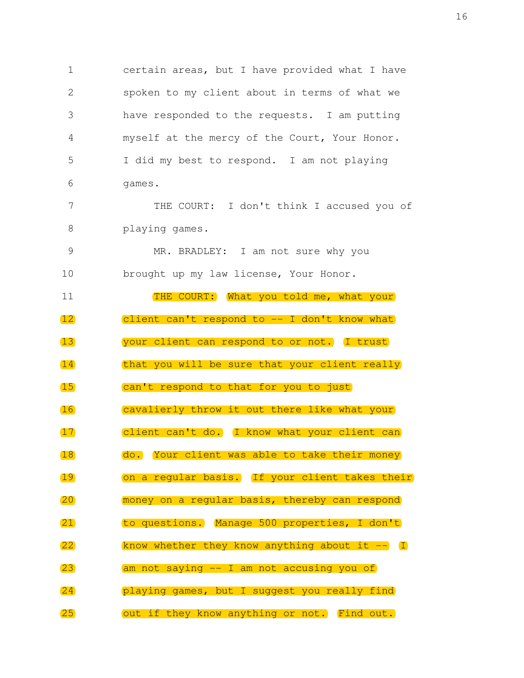1 certain areas, but I have provided what I have 2 spoken to my client about in terms of what we 3 have responded to the requests. I am putting 4 myself at the mercy of the Court, Your Honor. 5 I did my best to respond. I am not playing 6 games. 7 THE COURT: I don't think I accused you of 8 playing games. 9 MR. BRADLEY: I am not sure why you 10 brought up my law license, Your Honor. 11 THE COURT: What you told me, what your 12 client can't respond to -- I don't know what 13 **I** your client can respond to or not. I trust 14 that you will be sure that your client really 15 can't respond to that for you to just 16 cavalierly throw it out there like what your 17 client can't do. I know what your client can 18 do. Your client was able to take their money 19 on a regular basis. If your client takes their 20 money on a regular basis, thereby can respond 21 to questions. Manage 500 properties, I don't  $(22)$  know whether they know anything about it  $(1)$ 23 am not saying -- I am not accusing you of 24 playing games, but I suggest you really find 25 **but if they know anything or not.** Find out.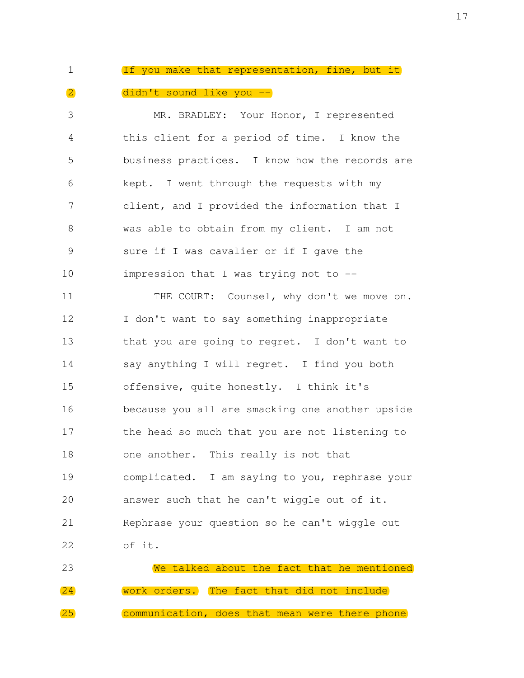## 1 If you make that representation, fine, but it 2 didn't sound like you --

 3 MR. BRADLEY: Your Honor, I represented 4 this client for a period of time. I know the 5 business practices. I know how the records are 6 kept. I went through the requests with my 7 client, and I provided the information that I 8 was able to obtain from my client. I am not 9 sure if I was cavalier or if I gave the 10 impression that I was trying not to -- 11 THE COURT: Counsel, why don't we move on. 12 I don't want to say something inappropriate 13 that you are going to regret. I don't want to 14 say anything I will regret. I find you both 15 offensive, quite honestly. I think it's 16 because you all are smacking one another upside 17 the head so much that you are not listening to 18 one another. This really is not that 19 complicated. I am saying to you, rephrase your 20 answer such that he can't wiggle out of it. 21 Rephrase your question so he can't wiggle out 22 of it. 23 We talked about the fact that he mentioned

24 work orders. The fact that did not include 25 communication, does that mean were there phone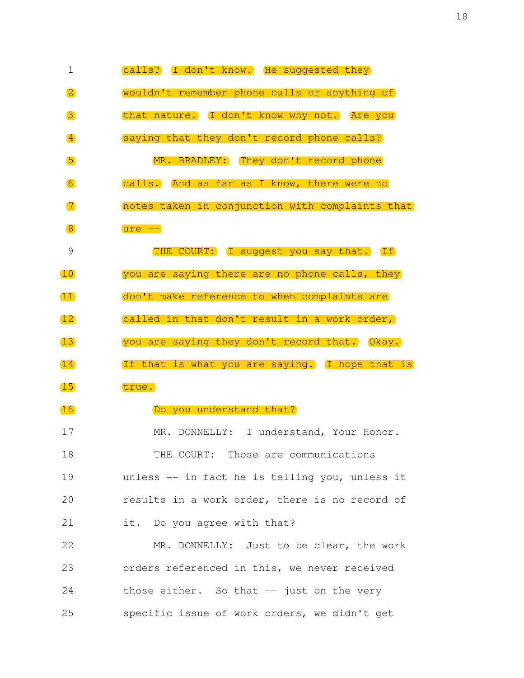| $\mathbf 1$                      | calls? I don't know. He suggested they          |
|----------------------------------|-------------------------------------------------|
| $\overline{2}$                   | wouldn't remember phone calls or anything of    |
| 3                                | that nature. I don't know why not. Are you      |
| $\left  4 \right\rangle$         | saying that they don't record phone calls?      |
| 5                                | MR. BRADLEY: They don't record phone            |
| $\begin{array}{c} 6 \end{array}$ | calls. And as far as I know, there were no      |
| $\boxed{7}$                      | notes taken in conjunction with complaints that |
| $\sqrt{8}$                       | $are$ $-$                                       |
| $\mathcal{G}$                    | THE COURT: I suggest you say that. If           |
| 10                               | you are saying there are no phone calls, they   |
| $\mathbf{11}$                    | don't make reference to when complaints are     |
| 12)                              | called in that don't result in a work order,    |
| 13)                              | you are saying they don't record that. Okay.    |
| 14                               | If that is what you are saying. I hope that is  |
| 15                               | true.                                           |
| 16                               | Do you understand that?                         |
| 17                               | MR. DONNELLY: I understand, Your Honor.         |
| 18                               | THE COURT: Those are communications             |
| 19                               | unless -- in fact he is telling you, unless it  |
| 20                               | results in a work order, there is no record of  |
| 21                               | it. Do you agree with that?                     |
| 22                               | MR. DONNELLY: Just to be clear, the work        |
| 23                               | orders referenced in this, we never received    |
| 24                               | those either. So that -- just on the very       |
| 25                               | specific issue of work orders, we didn't get    |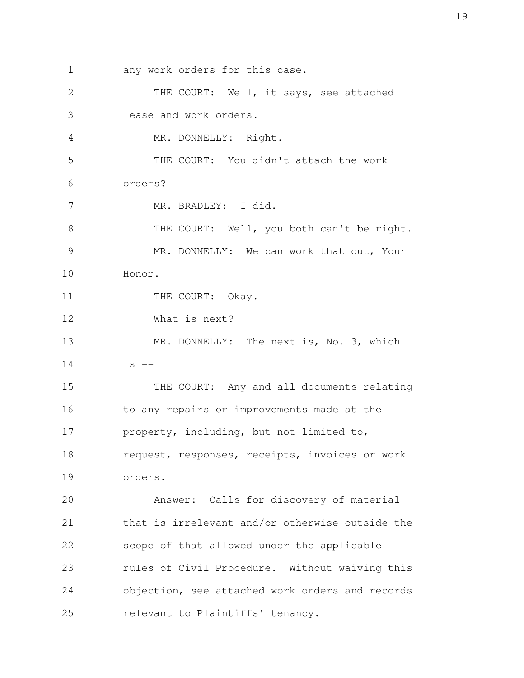1 any work orders for this case. 2 THE COURT: Well, it says, see attached 3 lease and work orders. 4 MR. DONNELLY: Right. 5 THE COURT: You didn't attach the work 6 orders? 7 MR. BRADLEY: I did. 8 THE COURT: Well, you both can't be right. 9 MR. DONNELLY: We can work that out, Your 10 Honor. 11 THE COURT: Okay. 12 What is next? 13 MR. DONNELLY: The next is, No. 3, which  $14$  is  $-$ 15 THE COURT: Any and all documents relating 16 to any repairs or improvements made at the 17 property, including, but not limited to, 18 request, responses, receipts, invoices or work 19 orders. 20 Answer: Calls for discovery of material 21 that is irrelevant and/or otherwise outside the 22 scope of that allowed under the applicable 23 rules of Civil Procedure. Without waiving this 24 objection, see attached work orders and records 25 relevant to Plaintiffs' tenancy.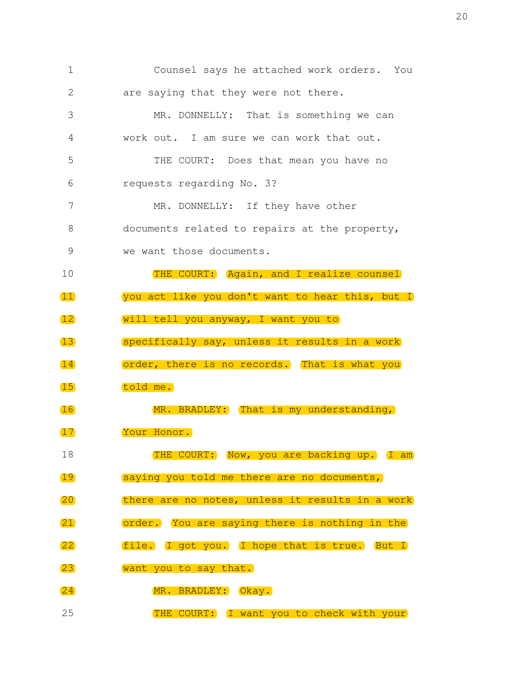| $\mathbf 1$     | Counsel says he attached work orders. You       |
|-----------------|-------------------------------------------------|
| 2               | are saying that they were not there.            |
| 3               | MR. DONNELLY: That is something we can          |
| 4               | work out. I am sure we can work that out.       |
| 5               | THE COURT: Does that mean you have no           |
| 6               | requests regarding No. 3?                       |
| 7               | MR. DONNELLY: If they have other                |
| 8               | documents related to repairs at the property,   |
| 9               | we want those documents.                        |
| 10              | THE COURT: Again, and I realize counsel         |
| $\boxed{11}$    | you act like you don't want to hear this, but I |
| 12              | will tell you anyway, I want you to             |
| 13              | specifically say, unless it results in a work   |
| 14)             | order, there is no records. That is what you    |
| 15              | told me.                                        |
| 16)             | MR. BRADLEY: That is my understanding,          |
| 17              | Your Honor.                                     |
| 18              | THE COURT: Now, you are backing up. I am        |
| 19              | saying you told me there are no documents,      |
| (20)            | there are no notes, unless it results in a work |
| $\overline{21}$ | order. You are saying there is nothing in the   |
| $\overline{22}$ | file. I got you. I hope that is true. But I     |
| $\overline{23}$ | want you to say that.                           |
| (24)            | MR. BRADLEY: Okay.                              |
| 25              | THE COURT: I want you to check with your        |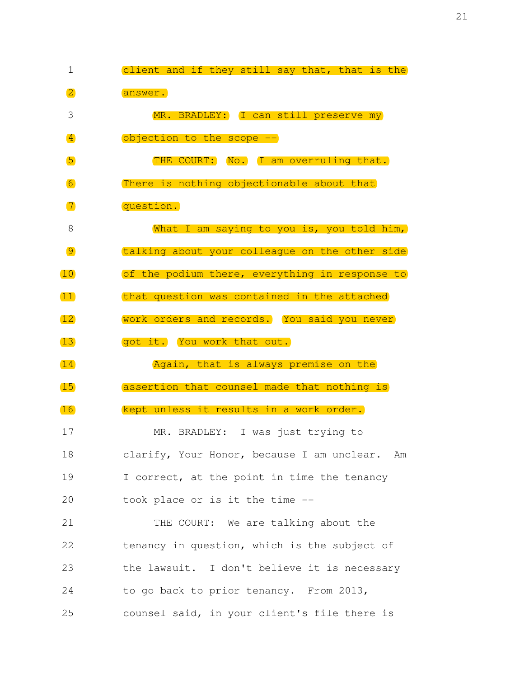1 client and if they still say that, that is the 2 answer. 3 MR. BRADLEY: I can still preserve my 4 objection to the scope -- 5 THE COURT: No. I am overruling that. 6 **There is nothing objectionable about that**  7 question. 8 What I am saying to you is, you told him, 9 talking about your colleague on the other side 10 of the podium there, everything in response to 11 that question was contained in the attached 12 work orders and records. You said you never 13 got it. You work that out. 14 Again, that is always premise on the 15 assertion that counsel made that nothing is 16 kept unless it results in a work order. 17 MR. BRADLEY: I was just trying to 18 clarify, Your Honor, because I am unclear. Am 19 I correct, at the point in time the tenancy 20 took place or is it the time -- 21 THE COURT: We are talking about the 22 tenancy in question, which is the subject of 23 the lawsuit. I don't believe it is necessary 24 to go back to prior tenancy. From 2013, 25 counsel said, in your client's file there is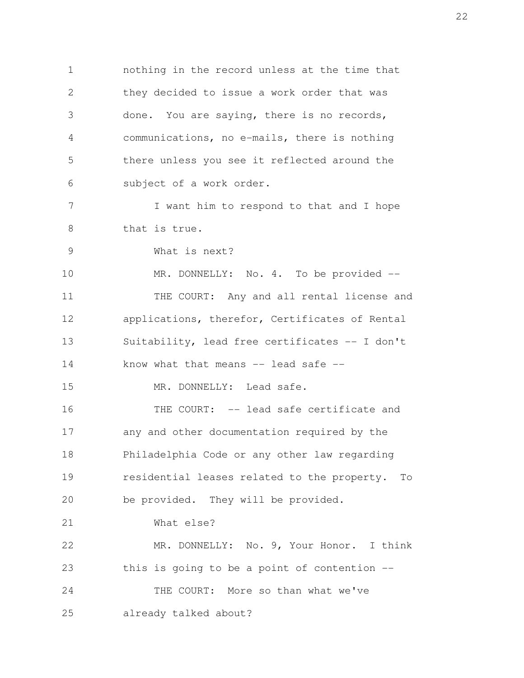1 nothing in the record unless at the time that 2 they decided to issue a work order that was 3 done. You are saying, there is no records, 4 communications, no e-mails, there is nothing 5 there unless you see it reflected around the 6 subject of a work order. 7 I want him to respond to that and I hope 8 that is true. 9 What is next? 10 MR. DONNELLY: No. 4. To be provided -- 11 THE COURT: Any and all rental license and 12 applications, therefor, Certificates of Rental 13 Suitability, lead free certificates -- I don't 14 know what that means -- lead safe --15 MR. DONNELLY: Lead safe. 16 THE COURT: -- lead safe certificate and 17 any and other documentation required by the 18 Philadelphia Code or any other law regarding 19 residential leases related to the property. To 20 be provided. They will be provided. 21 What else? 22 MR. DONNELLY: No. 9, Your Honor. I think 23 this is going to be a point of contention -- 24 THE COURT: More so than what we've 25 already talked about?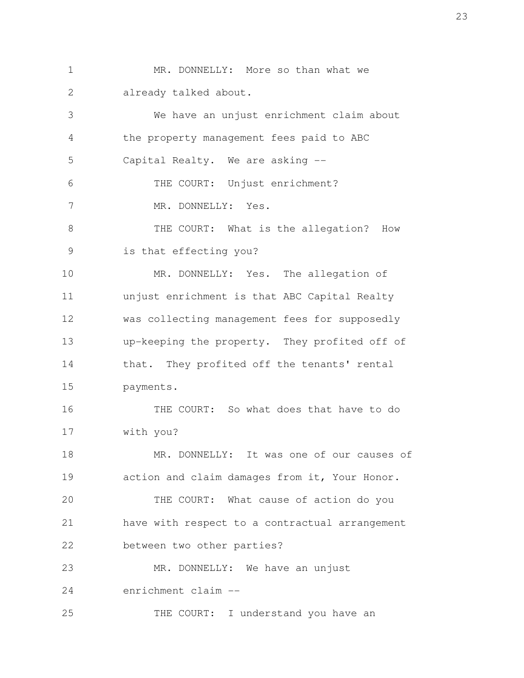1 MR. DONNELLY: More so than what we 2 already talked about. 3 We have an unjust enrichment claim about 4 the property management fees paid to ABC

 5 Capital Realty. We are asking -- 6 THE COURT: Unjust enrichment? 7 MR. DONNELLY: Yes.

 8 THE COURT: What is the allegation? How 9 is that effecting you?

10 MR. DONNELLY: Yes. The allegation of 11 unjust enrichment is that ABC Capital Realty 12 was collecting management fees for supposedly 13 up-keeping the property. They profited off of 14 that. They profited off the tenants' rental 15 payments.

16 THE COURT: So what does that have to do 17 with you?

18 MR. DONNELLY: It was one of our causes of 19 action and claim damages from it, Your Honor.

20 THE COURT: What cause of action do you 21 have with respect to a contractual arrangement 22 between two other parties?

23 MR. DONNELLY: We have an unjust 24 enrichment claim --

25 THE COURT: I understand you have an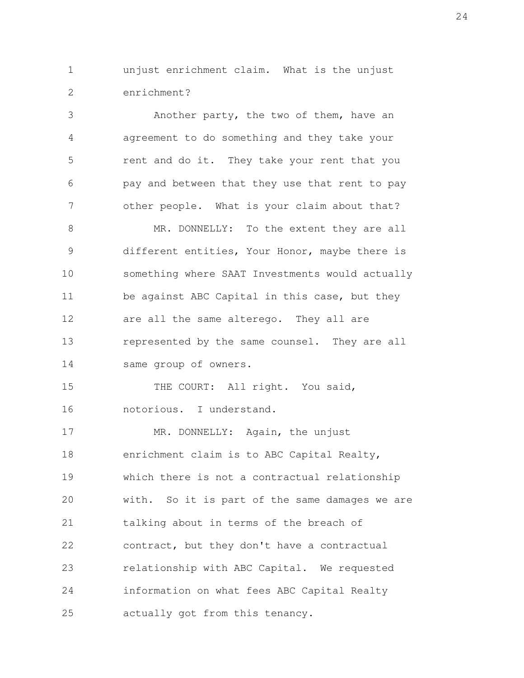1 unjust enrichment claim. What is the unjust 2 enrichment?

 3 Another party, the two of them, have an 4 agreement to do something and they take your 5 rent and do it. They take your rent that you 6 pay and between that they use that rent to pay 7 other people. What is your claim about that? 8 MR. DONNELLY: To the extent they are all 9 different entities, Your Honor, maybe there is 10 something where SAAT Investments would actually

11 be against ABC Capital in this case, but they 12 are all the same alterego. They all are 13 represented by the same counsel. They are all 14 same group of owners.

15 THE COURT: All right. You said, 16 notorious. I understand.

17 MR. DONNELLY: Again, the unjust 18 enrichment claim is to ABC Capital Realty, 19 which there is not a contractual relationship 20 with. So it is part of the same damages we are 21 talking about in terms of the breach of 22 contract, but they don't have a contractual 23 relationship with ABC Capital. We requested 24 information on what fees ABC Capital Realty 25 actually got from this tenancy.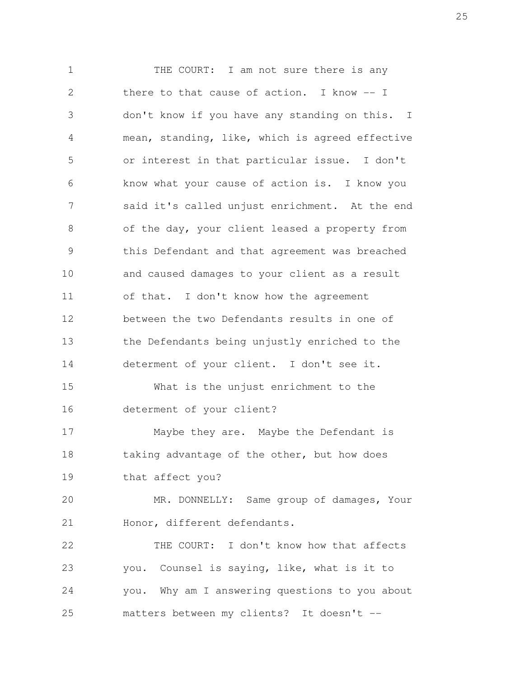1 THE COURT: I am not sure there is any 2 there to that cause of action. I know -- I 3 don't know if you have any standing on this. I 4 mean, standing, like, which is agreed effective 5 or interest in that particular issue. I don't 6 know what your cause of action is. I know you 7 said it's called unjust enrichment. At the end 8 of the day, your client leased a property from 9 this Defendant and that agreement was breached 10 and caused damages to your client as a result 11 of that. I don't know how the agreement 12 between the two Defendants results in one of 13 the Defendants being unjustly enriched to the 14 determent of your client. I don't see it. 15 What is the unjust enrichment to the 16 determent of your client? 17 Maybe they are. Maybe the Defendant is 18 taking advantage of the other, but how does 19 that affect you? 20 MR. DONNELLY: Same group of damages, Your 21 Honor, different defendants. 22 THE COURT: I don't know how that affects 23 you. Counsel is saying, like, what is it to 24 you. Why am I answering questions to you about 25 matters between my clients? It doesn't --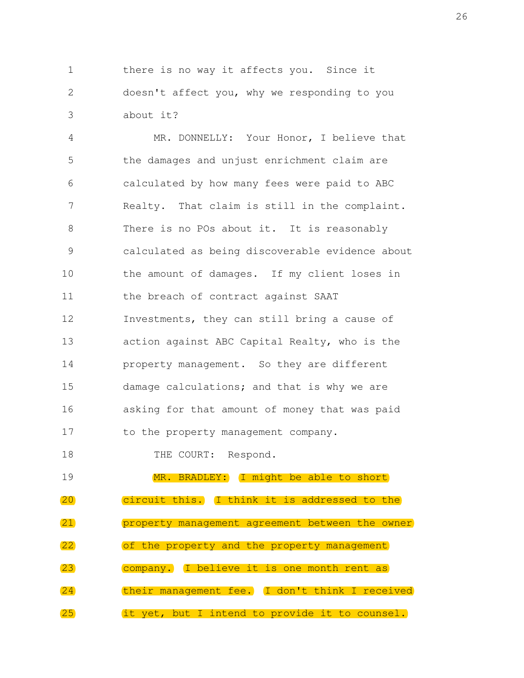1 there is no way it affects you. Since it 2 doesn't affect you, why we responding to you 3 about it?

 4 MR. DONNELLY: Your Honor, I believe that 5 the damages and unjust enrichment claim are 6 calculated by how many fees were paid to ABC 7 Realty. That claim is still in the complaint. 8 There is no POs about it. It is reasonably 9 calculated as being discoverable evidence about 10 the amount of damages. If my client loses in 11 the breach of contract against SAAT 12 Investments, they can still bring a cause of 13 action against ABC Capital Realty, who is the 14 property management. So they are different 15 damage calculations; and that is why we are 16 asking for that amount of money that was paid 17 to the property management company.

18 THE COURT: Respond.

19 MR. BRADLEY: I might be able to short 20 circuit this. I think it is addressed to the 21 property management agreement between the owner 22 of the property and the property management 23 company. I believe it is one month rent as 24 their management fee. I don't think I received 25 it yet, but I intend to provide it to counsel.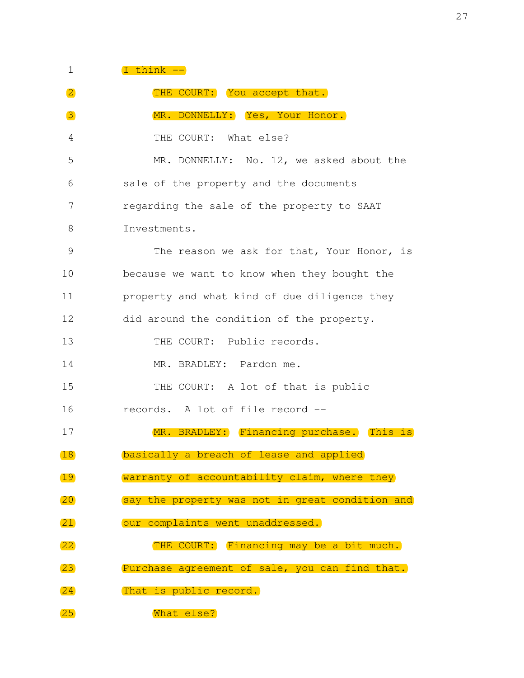## $1$   $I$  think  $--$

| $\vert 2 \vert$   | THE COURT: You accept that.                     |
|-------------------|-------------------------------------------------|
| 3                 | MR. DONNELLY: Yes, Your Honor.                  |
| 4                 | THE COURT: What else?                           |
| 5                 | MR. DONNELLY: No. 12, we asked about the        |
| 6                 | sale of the property and the documents          |
| 7                 | regarding the sale of the property to SAAT      |
| 8                 | Investments.                                    |
| $\mathcal{G}$     | The reason we ask for that, Your Honor, is      |
| 10                | because we want to know when they bought the    |
| 11                | property and what kind of due diligence they    |
| 12                | did around the condition of the property.       |
| 13                | THE COURT: Public records.                      |
| 14                | MR. BRADLEY: Pardon me.                         |
| 15                | THE COURT: A lot of that is public              |
| 16                | records. A lot of file record --                |
| 17                | MR. BRADLEY: Financing purchase. This is        |
| 18                | basically a breach of lease and applied         |
| 19                | warranty of accountability claim, where they    |
| $\overline{20}$   | say the property was not in great condition and |
| $\overline{21}$   | our complaints went unaddressed.                |
| $\overline{22}$   | THE COURT: Financing may be a bit much.         |
| $\left(23\right)$ | Purchase agreement of sale, you can find that.  |
| 24                | That is public record.                          |
| $\overline{25}$   | What else?                                      |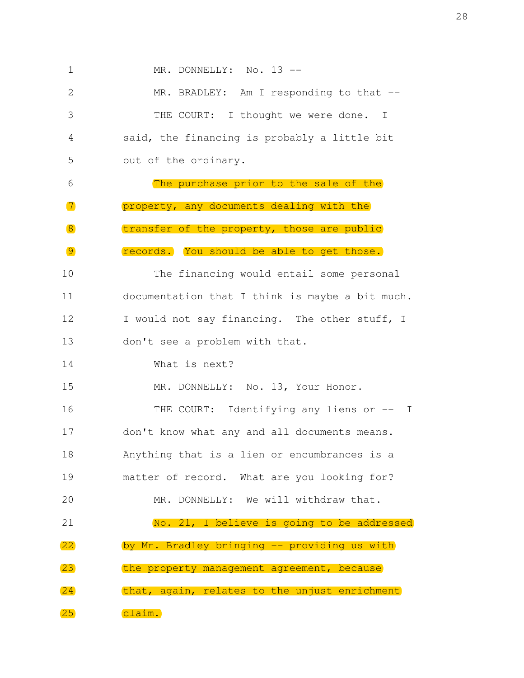1 MR. DONNELLY: No. 13 -- 2 MR. BRADLEY: Am I responding to that -- 3 THE COURT: I thought we were done. I 4 said, the financing is probably a little bit 5 out of the ordinary. 6 The purchase prior to the sale of the 7 property, any documents dealing with the 8 transfer of the property, those are public 9 records. You should be able to get those. 10 The financing would entail some personal 11 documentation that I think is maybe a bit much. 12 I would not say financing. The other stuff, I 13 don't see a problem with that. 14 What is next? 15 MR. DONNELLY: No. 13, Your Honor. 16 THE COURT: Identifying any liens or -- I 17 don't know what any and all documents means. 18 Anything that is a lien or encumbrances is a 19 matter of record. What are you looking for? 20 MR. DONNELLY: We will withdraw that. 21 No. 21, I believe is going to be addressed 22 by Mr. Bradley bringing -- providing us with 23 the property management agreement, because 24 that, again, relates to the unjust enrichment 25 claim.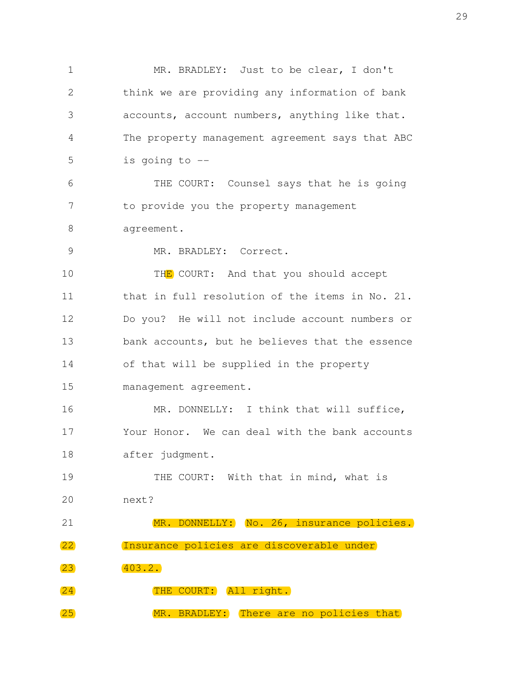1 MR. BRADLEY: Just to be clear, I don't 2 think we are providing any information of bank 3 accounts, account numbers, anything like that. 4 The property management agreement says that ABC 5 is going to -- 6 THE COURT: Counsel says that he is going 7 to provide you the property management 8 agreement. 9 MR. BRADLEY: Correct. 10 THE COURT: And that you should accept 11 that in full resolution of the items in No. 21. 12 Do you? He will not include account numbers or 13 bank accounts, but he believes that the essence 14 of that will be supplied in the property 15 management agreement. 16 MR. DONNELLY: I think that will suffice, 17 Your Honor. We can deal with the bank accounts 18 after judgment. 19 THE COURT: With that in mind, what is 20 next? 21 MR. DONNELLY: No. 26, insurance policies. 22 Insurance policies are discoverable under 23 403.2. 24 THE COURT: All right. 25 MR. BRADLEY: There are no policies that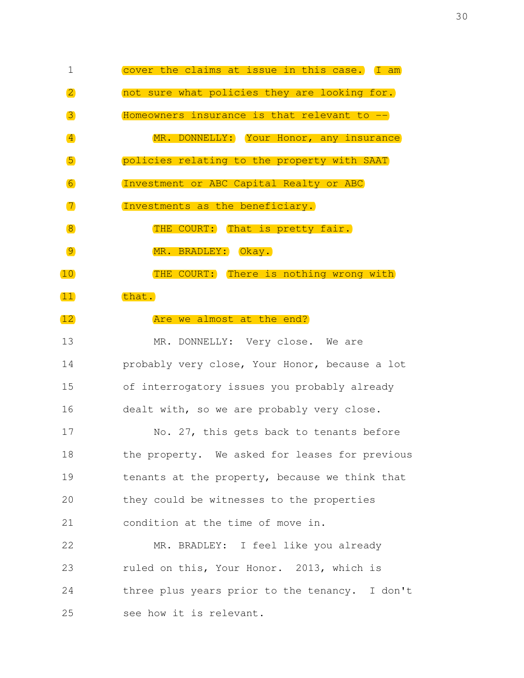| 1                                | cover the claims at issue in this case. I am |
|----------------------------------|----------------------------------------------|
| $\mathbf{2}$                     | not sure what policies they are looking for. |
| 3                                | Homeowners insurance is that relevant to --  |
| $\vert 4 \vert$                  | MR. DONNELLY: Your Honor, any insurance      |
| 5                                | policies relating to the property with SAAT  |
| $\begin{array}{c} 6 \end{array}$ | Investment or ABC Capital Realty or ABC      |
| $\boxed{7}$                      | Investments as the beneficiary.              |
| $\sqrt{8}$                       | THE COURT: That is pretty fair.              |
| $\overline{9}$                   | MR. BRADLEY: Okay.                           |
| 10)                              | THE COURT: There is nothing wrong with       |
| 11)                              | that.                                        |
|                                  |                                              |

13 MR. DONNELLY: Very close. We are 14 probably very close, Your Honor, because a lot 15 of interrogatory issues you probably already 16 dealt with, so we are probably very close.

12 **Are we almost at the end?** 

17 No. 27, this gets back to tenants before 18 the property. We asked for leases for previous 19 tenants at the property, because we think that 20 they could be witnesses to the properties 21 condition at the time of move in.

22 MR. BRADLEY: I feel like you already 23 ruled on this, Your Honor. 2013, which is 24 three plus years prior to the tenancy. I don't 25 see how it is relevant.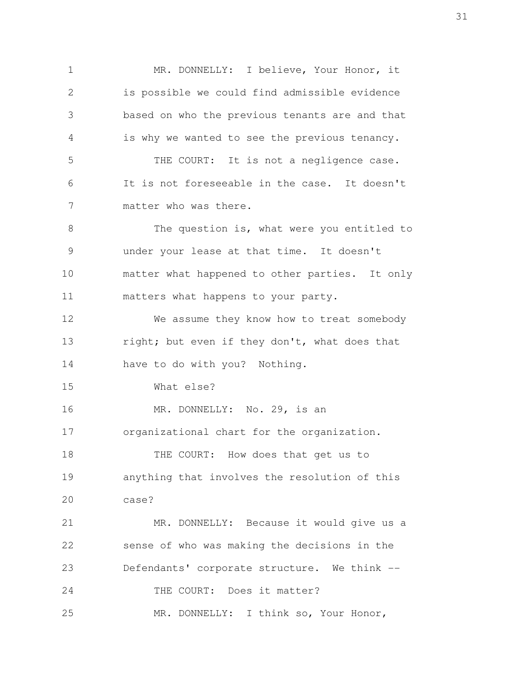1 MR. DONNELLY: I believe, Your Honor, it 2 is possible we could find admissible evidence 3 based on who the previous tenants are and that 4 is why we wanted to see the previous tenancy. 5 THE COURT: It is not a negligence case. 6 It is not foreseeable in the case. It doesn't 7 matter who was there. 8 The question is, what were you entitled to 9 under your lease at that time. It doesn't 10 matter what happened to other parties. It only 11 matters what happens to your party. 12 We assume they know how to treat somebody 13 right; but even if they don't, what does that 14 have to do with you? Nothing. 15 What else? 16 MR. DONNELLY: No. 29, is an 17 organizational chart for the organization. 18 THE COURT: How does that get us to 19 anything that involves the resolution of this 20 case? 21 MR. DONNELLY: Because it would give us a 22 sense of who was making the decisions in the 23 Defendants' corporate structure. We think -- 24 THE COURT: Does it matter? 25 MR. DONNELLY: I think so, Your Honor,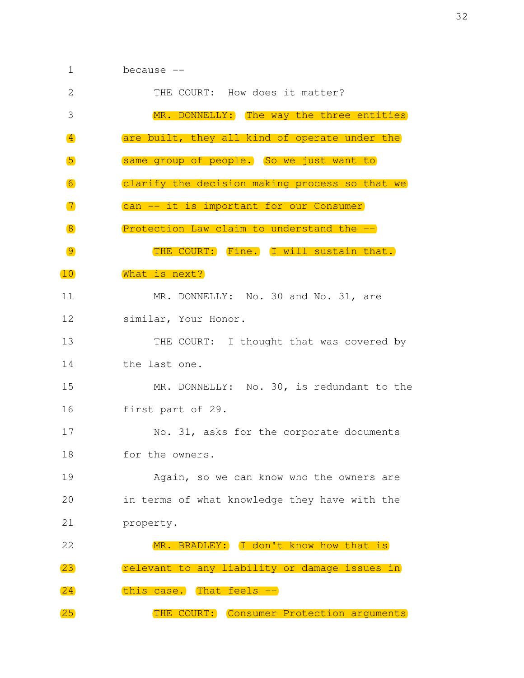| 1                      | because --                                     |
|------------------------|------------------------------------------------|
| 2                      | THE COURT: How does it matter?                 |
| 3                      | MR. DONNELLY: The way the three entities       |
| $\left 4\right\rangle$ | are built, they all kind of operate under the  |
| $\sqrt{5}$             | same group of people. So we just want to       |
| 6                      | clarify the decision making process so that we |
| $\boxed{7}$            | can -- it is important for our Consumer        |
| $\sqrt{8}$             | Protection Law claim to understand the --      |
| $\overline{9}$         | THE COURT: Fine. I will sustain that.          |
| 10                     | What is next?                                  |
| 11                     | MR. DONNELLY: No. 30 and No. 31, are           |
| 12                     | similar, Your Honor.                           |
| 13                     | THE COURT: I thought that was covered by       |
| 14                     | the last one.                                  |
| 15                     | MR. DONNELLY: No. 30, is redundant to the      |
| 16                     | first part of 29.                              |
| 17                     | No. 31, asks for the corporate documents       |
| 18                     | for the owners.                                |
| 19                     | Again, so we can know who the owners are       |
| 20                     | in terms of what knowledge they have with the  |
| 21                     | property.                                      |
| 22                     | MR. BRADLEY: I don't know how that is          |
| $\overline{23}$        | relevant to any liability or damage issues in  |
| (24)                   | this case. That feels --                       |
| $\overline{25}$        | THE COURT: Consumer Protection arguments       |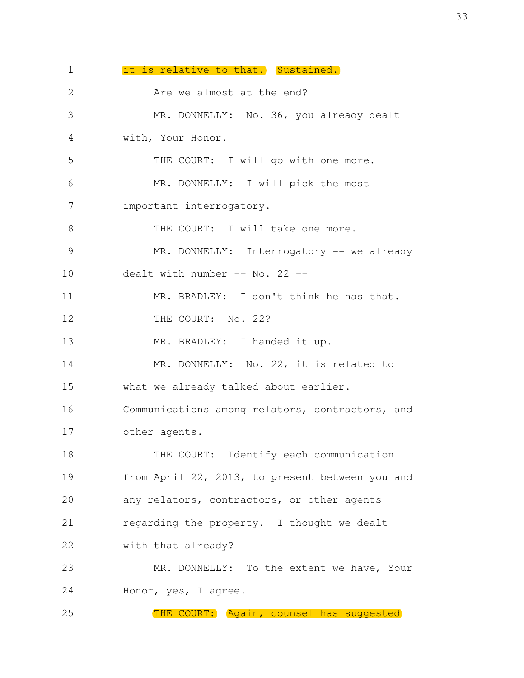1 it is relative to that. Sustained. 2 Are we almost at the end? 3 MR. DONNELLY: No. 36, you already dealt 4 with, Your Honor. 5 THE COURT: I will go with one more. 6 MR. DONNELLY: I will pick the most 7 important interrogatory. 8 THE COURT: I will take one more. 9 MR. DONNELLY: Interrogatory -- we already 10 dealt with number -- No. 22 --11 MR. BRADLEY: I don't think he has that. 12 THE COURT: No. 22? 13 MR. BRADLEY: I handed it up. 14 MR. DONNELLY: No. 22, it is related to 15 what we already talked about earlier. 16 Communications among relators, contractors, and 17 other agents. 18 THE COURT: Identify each communication 19 from April 22, 2013, to present between you and 20 any relators, contractors, or other agents 21 regarding the property. I thought we dealt 22 with that already? 23 MR. DONNELLY: To the extent we have, Your 24 Honor, yes, I agree. 25 THE COURT: Again, counsel has suggested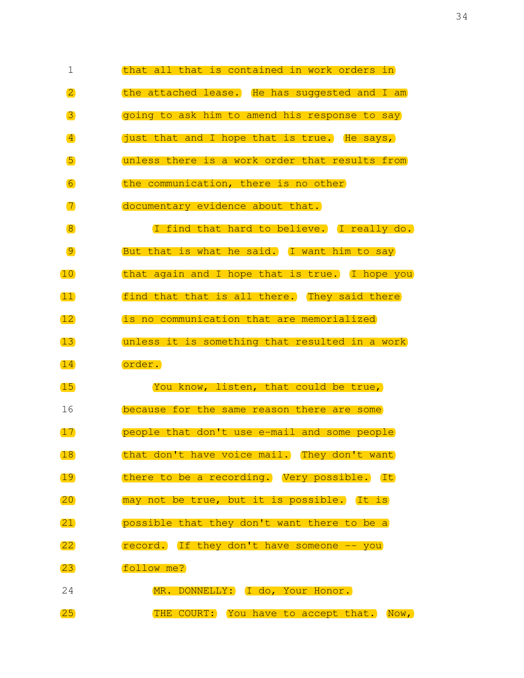| $\mathbf 1$        | that all that is contained in work orders in   |
|--------------------|------------------------------------------------|
| $\overline{2}$     | the attached lease. He has suggested and I am  |
| 3                  | going to ask him to amend his response to say  |
| $\left  4 \right $ | just that and I hope that is true. He says,    |
| $\sqrt{5}$         | unless there is a work order that results from |
| 6                  | the communication, there is no other           |
| $\boxed{7}$        | documentary evidence about that.               |
| $\sqrt{8}$         | I find that hard to believe. I really do.      |
| $\overline{9}$     | But that is what he said. I want him to say    |
| 10                 | that again and I hope that is true. I hope you |
| $\left(11\right)$  | find that that is all there. They said there   |
| 12                 | is no communication that are memorialized      |
| 13)                | unless it is something that resulted in a work |
| 14                 | order.                                         |
| 15                 | You know, listen, that could be true,          |
| 16                 | because for the same reason there are some     |
| (17)               | people that don't use e-mail and some people   |
| 18                 | that don't have voice mail. They don't want    |
| 19                 | there to be a recording. Very possible. It     |
| $\overline{20}$    | may not be true, but it is possible. It is     |
| (21)               | possible that they don't want there to be a    |
| $\overline{22}$    | record. If they don't have someone -- you      |
| $\left(23\right)$  | follow me?                                     |
| 24                 | MR. DONNELLY: I do, Your Honor.                |
| $\overline{25}$    | THE COURT: You have to accept that. Now,       |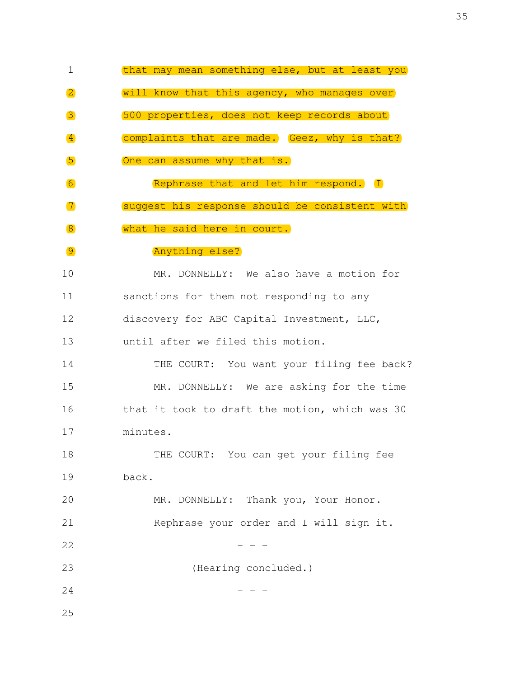1 that may mean something else, but at least you 2 will know that this agency, who manages over 3 500 properties, does not keep records about 4 **4 complaints that are made.** Geez, why is that? 5 One can assume why that is. 6 Rephrase that and let him respond. I 7 suggest his response should be consistent with 8 what he said here in court. 9 Anything else? 10 MR. DONNELLY: We also have a motion for 11 sanctions for them not responding to any 12 discovery for ABC Capital Investment, LLC, 13 until after we filed this motion. 14 THE COURT: You want your filing fee back? 15 MR. DONNELLY: We are asking for the time 16 that it took to draft the motion, which was 30 17 minutes. 18 THE COURT: You can get your filing fee 19 back. 20 MR. DONNELLY: Thank you, Your Honor. 21 Rephrase your order and I will sign it.  $22$   $-$ 23 (Hearing concluded.)  $24$  - - -25